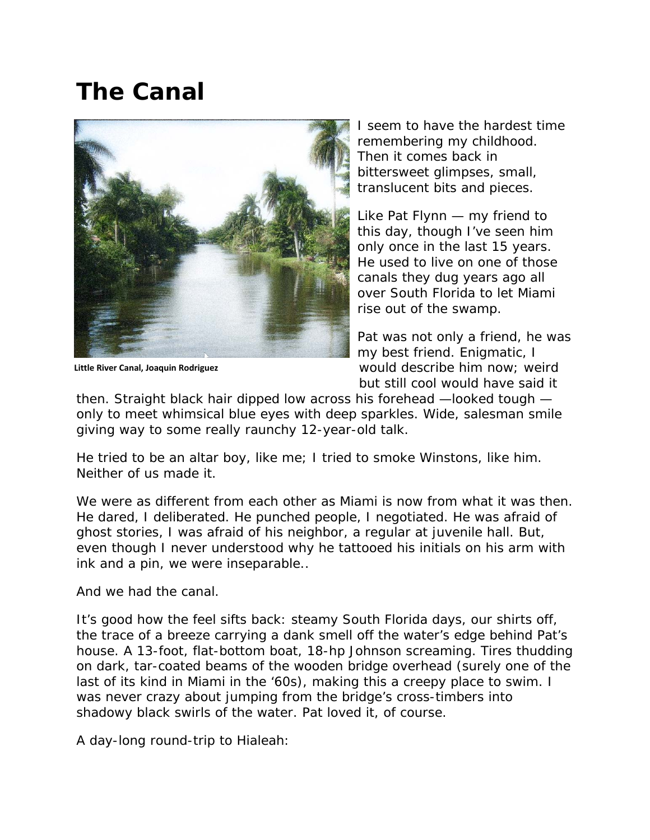## **The Canal**



**Little River Canal, Joaquin Rodriguez**

I seem to have the hardest time remembering my childhood. Then it comes back in bittersweet glimpses, small, translucent bits and pieces.

Like Pat Flynn — my friend to this day, though I've seen him only once in the last 15 years. He used to live on one of those canals they dug years ago all over South Florida to let Miami rise out of the swamp.

Pat was not only a friend, he was my best friend. Enigmatic, I would describe him now; weird but still cool would have said it

then. Straight black hair dipped low across his forehead —looked tough only to meet whimsical blue eyes with deep sparkles. Wide, salesman smile giving way to some really raunchy 12-year-old talk.

He tried to be an altar boy, like me; I tried to smoke Winstons, like him. Neither of us made it.

We were as different from each other as Miami is now from what it was then. He dared, I deliberated. He punched people, I negotiated. He was afraid of ghost stories, I was afraid of his neighbor, a regular at juvenile hall. But, even though I never understood why he tattooed his initials on his arm with ink and a pin, we were inseparable..

And we had the canal.

It's good how the feel sifts back: steamy South Florida days, our shirts off, the trace of a breeze carrying a dank smell off the water's edge behind Pat's house. A 13-foot, flat-bottom boat, 18-hp Johnson screaming. Tires thudding on dark, tar-coated beams of the wooden bridge overhead (surely one of the last of its kind in Miami in the '60s), making this a creepy place to swim. I was never crazy about jumping from the bridge's cross-timbers into shadowy black swirls of the water. Pat loved it, of course.

A day-long round-trip to Hialeah: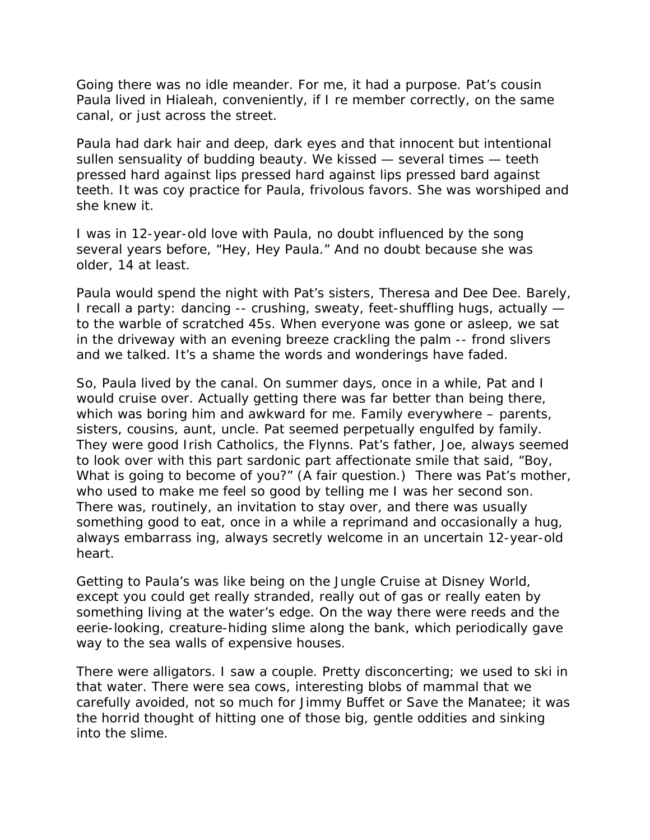Going there was no idle meander. For me, it had a purpose. Pat's cousin Paula lived in Hialeah, conveniently, if I re member correctly, on the same canal, or just across the street.

Paula had dark hair and deep, dark eyes and that innocent but intentional sullen sensuality of budding beauty. We kissed — several times — teeth pressed hard against lips pressed hard against lips pressed bard against teeth. It was coy practice for Paula, frivolous favors. She was worshiped and she knew it.

I was in 12-year-old love with Paula, no doubt influenced by the song several years before, "Hey, Hey Paula." And no doubt because she was older, 14 at least.

Paula would spend the night with Pat's sisters, Theresa and Dee Dee. Barely, I recall a party: dancing -- crushing, sweaty, feet-shuffling hugs, actually to the warble of scratched 45s. When everyone was gone or asleep, we sat in the driveway with an evening breeze crackling the palm -- frond slivers and we talked. It's a shame the words and wonderings have faded.

So, Paula lived by the canal. On summer days, once in a while, Pat and I would cruise over. Actually getting there was far better than being there, which was boring him and awkward for me. Family everywhere – parents, sisters, cousins, aunt, uncle. Pat seemed perpetually engulfed by family. They were good Irish Catholics, the Flynns. Pat's father, Joe, always seemed to look over with this part sardonic part affectionate smile that said, "Boy, What is going to become of you?" (A fair question.) There was Pat's mother, who used to make me feel so good by telling me I was her second son. There was, routinely, an invitation to stay over, and there was usually something good to eat, once in a while a reprimand and occasionally a hug, always embarrass ing, always secretly welcome in an uncertain 12-year-old heart.

Getting to Paula's was like being on the Jungle Cruise at Disney World, except you could get really stranded, really out of gas or really eaten by something living at the water's edge. On the way there were reeds and the eerie-looking, creature-hiding slime along the bank, which periodically gave way to the sea walls of expensive houses.

There were alligators. I saw a couple. Pretty disconcerting; we used to ski in that water. There were sea cows, interesting blobs of mammal that we carefully avoided, not so much for Jimmy Buffet or Save the Manatee; it was the horrid thought of hitting one of those big, gentle oddities and sinking into the slime.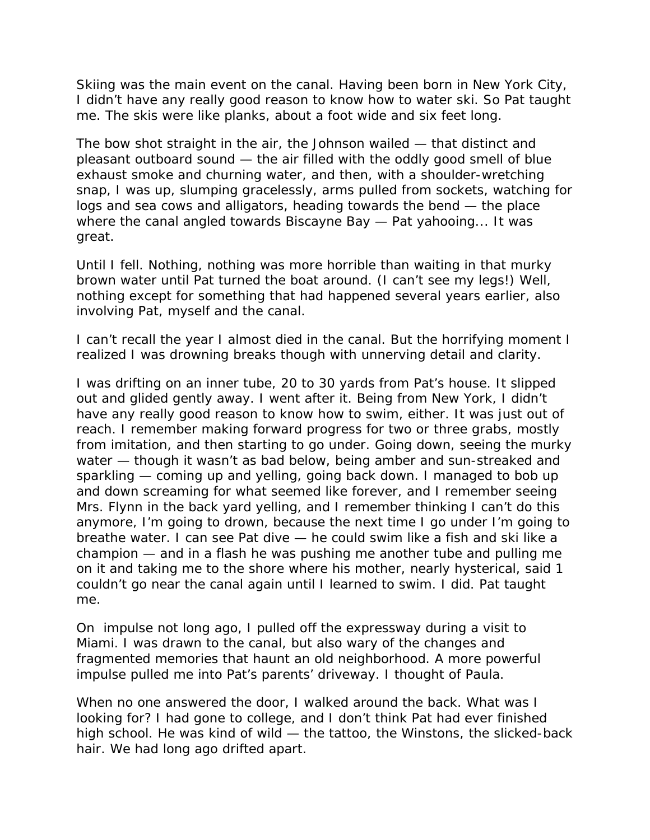Skiing was the main event on the canal. Having been born in New York City, I didn't have any really good reason to know how to water ski. So Pat taught me. The skis were like planks, about a foot wide and six feet long.

The bow shot straight in the air, the Johnson wailed — that distinct and pleasant outboard sound — the air filled with the oddly good smell of blue exhaust smoke and churning water, and then, with a shoulder-wretching snap, I was up, slumping gracelessly, arms pulled from sockets, watching for logs and sea cows and alligators, heading towards the bend — the place where the canal angled towards Biscayne Bay — Pat yahooing... It was great.

Until I fell. Nothing, nothing was more horrible than waiting in that murky brown water until Pat turned the boat around. (I can't see my legs!) Well, nothing except for something that had happened several years earlier, also involving Pat, myself and the canal.

I can't recall the year I almost died in the canal. But the horrifying moment I realized I was drowning breaks though with unnerving detail and clarity.

I was drifting on an inner tube, 20 to 30 yards from Pat's house. It slipped out and glided gently away. I went after it. Being from New York, I didn't have any really good reason to know how to swim, either. It was just out of reach. I remember making forward progress for two or three grabs, mostly from imitation, and then starting to go under. Going down, seeing the murky water — though it wasn't as bad below, being amber and sun-streaked and sparkling — coming up and yelling, going back down. I managed to bob up and down screaming for what seemed like forever, and I remember seeing Mrs. Flynn in the back yard yelling, and I remember thinking I can't do this anymore, I'm going to drown, because the next time I go under I'm going to breathe water. I can see Pat dive — he could swim like a fish and ski like a champion — and in a flash he was pushing me another tube and pulling me on it and taking me to the shore where his mother, nearly hysterical, said 1 couldn't go near the canal again until I learned to swim. I did. Pat taught me.

On impulse not long ago, I pulled off the expressway during a visit to Miami. I was drawn to the canal, but also wary of the changes and fragmented memories that haunt an old neighborhood. A more powerful impulse pulled me into Pat's parents' driveway. I thought of Paula.

When no one answered the door, I walked around the back. What was I looking for? I had gone to college, and I don't think Pat had ever finished high school. He was kind of wild — the tattoo, the Winstons, the slicked-back hair. We had long ago drifted apart.